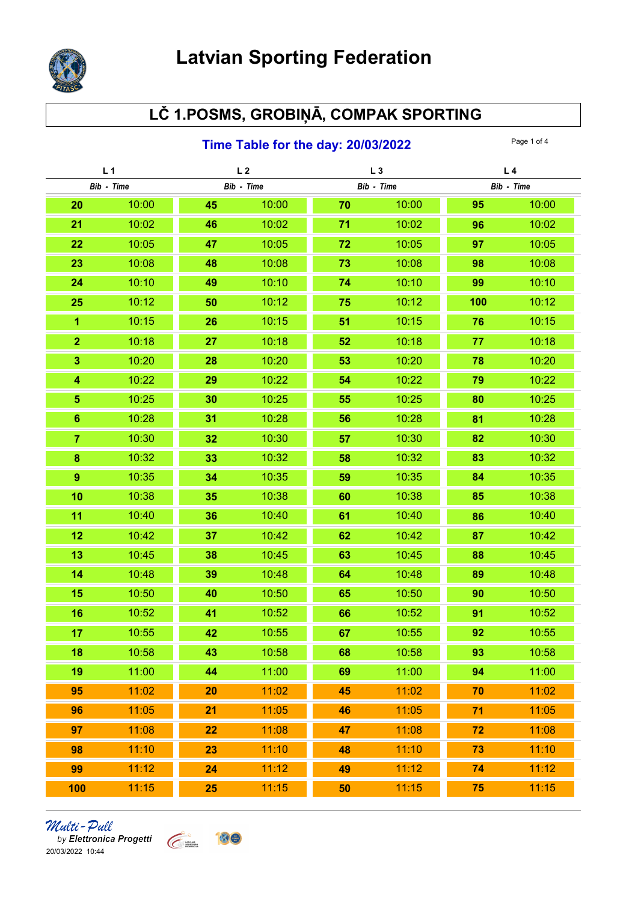

## LČ 1.POSMS, GROBIŅĀ, COMPAK SPORTING

#### **Time Table for the day: 20/03/2022** Page 1 of 4

| L <sub>1</sub>          |       | L <sub>2</sub> |       | $L_3$      |       | L <sub>4</sub> |       |
|-------------------------|-------|----------------|-------|------------|-------|----------------|-------|
| Bib - Time              |       | Bib - Time     |       | Bib - Time |       | Bib - Time     |       |
| 20                      | 10:00 | 45             | 10:00 | 70         | 10:00 | 95             | 10:00 |
| 21                      | 10:02 | 46             | 10:02 | 71         | 10:02 | 96             | 10:02 |
| 22                      | 10:05 | 47             | 10:05 | 72         | 10:05 | 97             | 10:05 |
| 23                      | 10:08 | 48             | 10:08 | 73         | 10:08 | 98             | 10:08 |
| 24                      | 10:10 | 49             | 10:10 | 74         | 10:10 | 99             | 10:10 |
| 25                      | 10:12 | 50             | 10:12 | 75         | 10:12 | 100            | 10:12 |
| $\overline{1}$          | 10:15 | 26             | 10:15 | 51         | 10:15 | 76             | 10:15 |
| $\overline{2}$          | 10:18 | 27             | 10:18 | 52         | 10:18 | 77             | 10:18 |
| $\overline{\mathbf{3}}$ | 10:20 | 28             | 10:20 | 53         | 10:20 | 78             | 10:20 |
| 4                       | 10:22 | 29             | 10:22 | 54         | 10:22 | 79             | 10:22 |
| 5                       | 10:25 | 30             | 10:25 | 55         | 10:25 | 80             | 10:25 |
| $6\phantom{1}$          | 10:28 | 31             | 10:28 | 56         | 10:28 | 81             | 10:28 |
| $\overline{7}$          | 10:30 | 32             | 10:30 | 57         | 10:30 | 82             | 10:30 |
| 8                       | 10:32 | 33             | 10:32 | 58         | 10:32 | 83             | 10:32 |
| $\overline{9}$          | 10:35 | 34             | 10:35 | 59         | 10:35 | 84             | 10:35 |
| 10                      | 10:38 | 35             | 10:38 | 60         | 10:38 | 85             | 10:38 |
| 11                      | 10:40 | 36             | 10:40 | 61         | 10:40 | 86             | 10:40 |
| 12                      | 10:42 | 37             | 10:42 | 62         | 10:42 | 87             | 10:42 |
| 13                      | 10:45 | 38             | 10:45 | 63         | 10:45 | 88             | 10:45 |
| 14                      | 10:48 | 39             | 10:48 | 64         | 10:48 | 89             | 10:48 |
| 15                      | 10:50 | 40             | 10:50 | 65         | 10:50 | 90             | 10:50 |
| 16                      | 10:52 | 41             | 10:52 | 66         | 10:52 | 91             | 10:52 |
| 17                      | 10:55 | 42             | 10:55 | 67         | 10:55 | 92             | 10:55 |
| 18                      | 10:58 | 43             | 10:58 | 68         | 10:58 | 93             | 10:58 |
| 19                      | 11:00 | 44             | 11:00 | 69         | 11:00 | 94             | 11:00 |
| 95                      | 11:02 | 20             | 11:02 | 45         | 11:02 | 70             | 11:02 |
| 96                      | 11:05 | 21             | 11:05 | 46         | 11:05 | 71             | 11:05 |
| 97                      | 11:08 | 22             | 11:08 | 47         | 11:08 | 72             | 11:08 |
| 98                      | 11:10 | 23             | 11:10 | 48         | 11:10 | 73             | 11:10 |
| 99                      | 11:12 | 24             | 11:12 | 49         | 11:12 | 74             | 11:12 |
| 100                     | 11:15 | 25             | 11:15 | 50         | 11:15 | 75             | 11:15 |

# *Multi - Pull*<br>by Elettronica Progetti<br>20/03/2022 10:44

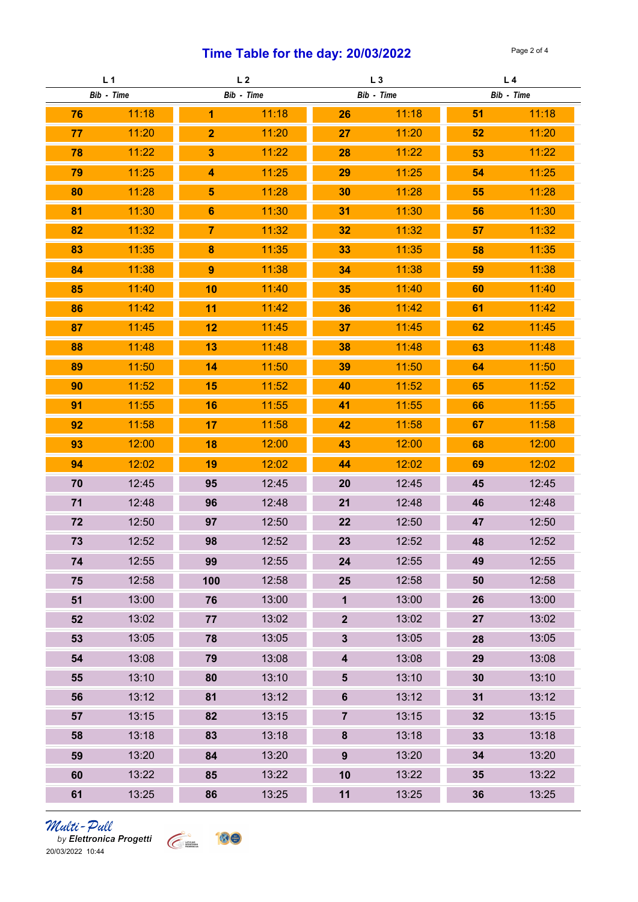### Time Table for the day:  $20/03/2022$  Page 2 of 4

| L <sub>1</sub> |       | L <sub>2</sub>   |       | L <sub>3</sub>          |       | L <sub>4</sub> |       |
|----------------|-------|------------------|-------|-------------------------|-------|----------------|-------|
| Bib - Time     |       | Bib - Time       |       | Bib - Time              |       | Bib - Time     |       |
| 76             | 11:18 | 1                | 11:18 | 26                      | 11:18 | 51             | 11:18 |
| 77             | 11:20 | $\overline{2}$   | 11:20 | 27                      | 11:20 | 52             | 11:20 |
| 78             | 11:22 | $\mathbf{3}$     | 11:22 | 28                      | 11:22 | 53             | 11:22 |
| 79             | 11:25 | 4                | 11:25 | 29                      | 11:25 | 54             | 11:25 |
| 80             | 11:28 | 5                | 11:28 | 30                      | 11:28 | 55             | 11:28 |
| 81             | 11:30 | $6\phantom{1}$   | 11:30 | 31                      | 11:30 | 56             | 11:30 |
| 82             | 11:32 | 7                | 11:32 | 32                      | 11:32 | 57             | 11:32 |
| 83             | 11:35 | 8                | 11:35 | 33                      | 11:35 | 58             | 11:35 |
| 84             | 11:38 | $\boldsymbol{9}$ | 11:38 | 34                      | 11:38 | 59             | 11:38 |
| 85             | 11:40 | 10               | 11:40 | 35                      | 11:40 | 60             | 11:40 |
| 86             | 11:42 | 11               | 11:42 | 36                      | 11:42 | 61             | 11:42 |
| 87             | 11:45 | 12               | 11:45 | 37                      | 11:45 | 62             | 11:45 |
| 88             | 11:48 | 13               | 11:48 | 38                      | 11:48 | 63             | 11:48 |
| 89             | 11:50 | 14               | 11:50 | 39                      | 11:50 | 64             | 11:50 |
| 90             | 11:52 | 15               | 11:52 | 40                      | 11:52 | 65             | 11:52 |
| 91             | 11:55 | 16               | 11:55 | 41                      | 11:55 | 66             | 11:55 |
| 92             | 11:58 | 17               | 11:58 | 42                      | 11:58 | 67             | 11:58 |
| 93             | 12:00 | 18               | 12:00 | 43                      | 12:00 | 68             | 12:00 |
| 94             | 12:02 | 19               | 12:02 | 44                      | 12:02 | 69             | 12:02 |
| 70             | 12:45 | 95               | 12:45 | 20                      | 12:45 | 45             | 12:45 |
| 71             | 12:48 | 96               | 12:48 | 21                      | 12:48 | 46             | 12:48 |
| 72             | 12:50 | 97               | 12:50 | 22                      | 12:50 | 47             | 12:50 |
| 73             | 12:52 | 98               | 12:52 | 23                      | 12:52 | 48             | 12:52 |
| 74             | 12:55 | 99               | 12:55 | 24                      | 12:55 | 49             | 12:55 |
| 75             | 12:58 | 100              | 12:58 | 25                      | 12:58 | 50             | 12:58 |
| 51             | 13:00 | 76               | 13:00 | $\mathbf{1}$            | 13:00 | 26             | 13:00 |
| 52             | 13:02 | 77               | 13:02 | $\overline{2}$          | 13:02 | 27             | 13:02 |
| 53             | 13:05 | 78               | 13:05 | $\mathbf{3}$            | 13:05 | 28             | 13:05 |
| 54             | 13:08 | 79               | 13:08 | $\overline{\mathbf{4}}$ | 13:08 | 29             | 13:08 |
| 55             | 13:10 | 80               | 13:10 | $5\phantom{.0}$         | 13:10 | 30             | 13:10 |
| 56             | 13:12 | 81               | 13:12 | $6\phantom{a}$          | 13:12 | 31             | 13:12 |
| 57             | 13:15 | 82               | 13:15 | $\overline{7}$          | 13:15 | 32             | 13:15 |
| 58             | 13:18 | 83               | 13:18 | $\bf 8$                 | 13:18 | 33             | 13:18 |
| 59             | 13:20 | 84               | 13:20 | 9                       | 13:20 | 34             | 13:20 |
| 60             | 13:22 | 85               | 13:22 | 10                      | 13:22 | 35             | 13:22 |
| 61             | 13:25 | 86               | 13:25 | 11                      | 13:25 | 36             | 13:25 |

*Multi – Pull*<br>by Elettronica Progetti<br>20/03/2022 10:44

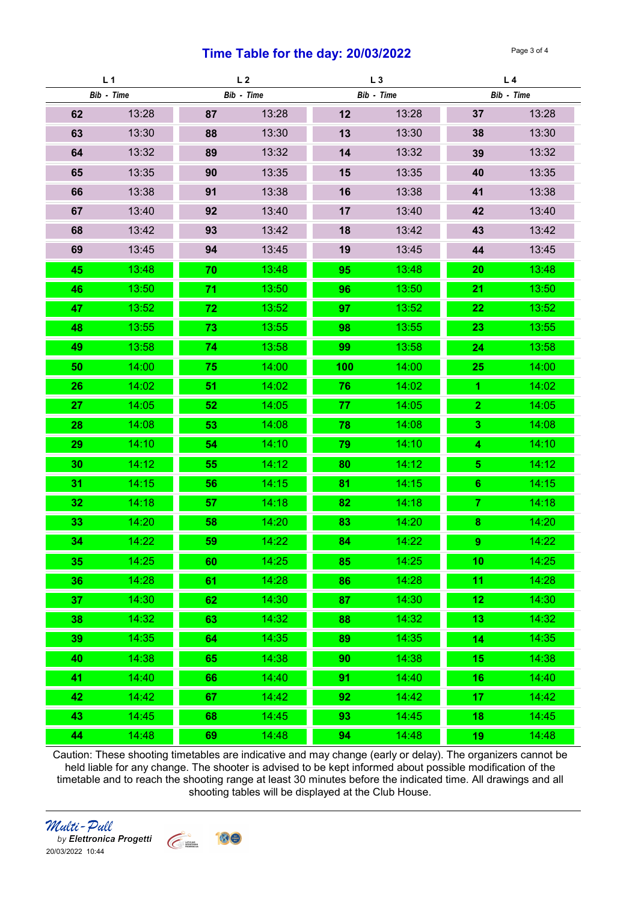#### **Time Table for the day: 20/03/2022** Page 3 of 4

| L1              |       | L <sub>2</sub> |       | $L_3$      |       | L <sub>4</sub>   |       |
|-----------------|-------|----------------|-------|------------|-------|------------------|-------|
| Bib - Time      |       | Bib - Time     |       | Bib - Time |       | Bib - Time       |       |
| 62              | 13:28 | 87             | 13:28 | 12         | 13:28 | 37               | 13:28 |
| 63              | 13:30 | 88             | 13:30 | 13         | 13:30 | 38               | 13:30 |
| 64              | 13:32 | 89             | 13:32 | 14         | 13:32 | 39               | 13:32 |
| 65              | 13:35 | 90             | 13:35 | 15         | 13:35 | 40               | 13:35 |
| 66              | 13:38 | 91             | 13:38 | 16         | 13:38 | 41               | 13:38 |
| 67              | 13:40 | 92             | 13:40 | 17         | 13:40 | 42               | 13:40 |
| 68              | 13:42 | 93             | 13:42 | 18         | 13:42 | 43               | 13:42 |
| 69              | 13:45 | 94             | 13:45 | 19         | 13:45 | 44               | 13:45 |
| 45              | 13:48 | 70             | 13:48 | 95         | 13:48 | 20               | 13:48 |
| 46              | 13:50 | 71             | 13:50 | 96         | 13:50 | 21               | 13:50 |
| 47              | 13:52 | 72             | 13:52 | 97         | 13:52 | 22               | 13:52 |
| 48              | 13:55 | 73             | 13:55 | 98         | 13:55 | 23               | 13:55 |
| 49              | 13:58 | 74             | 13:58 | 99         | 13:58 | 24               | 13:58 |
| 50              | 14:00 | 75             | 14:00 | 100        | 14:00 | 25               | 14:00 |
| 26              | 14:02 | 51             | 14:02 | 76         | 14:02 | 1                | 14:02 |
| 27              | 14:05 | 52             | 14:05 | 77         | 14:05 | $\overline{2}$   | 14:05 |
| 28              | 14:08 | 53             | 14:08 | 78         | 14:08 | 3 <sup>5</sup>   | 14:08 |
| 29              | 14:10 | 54             | 14:10 | 79         | 14:10 | $\boldsymbol{4}$ | 14:10 |
| 30              | 14:12 | 55             | 14:12 | 80         | 14:12 | 5                | 14:12 |
| 31              | 14:15 | 56             | 14:15 | 81         | 14:15 | $6\phantom{1}$   | 14:15 |
| 32              | 14:18 | 57             | 14:18 | 82         | 14:18 | 7                | 14:18 |
| 33              | 14:20 | 58             | 14:20 | 83         | 14:20 | $\boldsymbol{8}$ | 14:20 |
| 34              | 14:22 | 59             | 14:22 | 84         | 14:22 | $\boldsymbol{9}$ | 14:22 |
| 35              | 14:25 | 60             | 14:25 | 85         | 14:25 | 10               | 14:25 |
| 36              | 14:28 | 61             | 14:28 | 86         | 14:28 | 11               | 14:28 |
| 37              | 14:30 | 62             | 14:30 | 87         | 14:30 | 12               | 14:30 |
| 38 <sub>1</sub> | 14:32 | 63             | 14:32 | 88         | 14:32 | 13               | 14:32 |
| 39              | 14:35 | 64             | 14:35 | 89         | 14:35 | 14               | 14:35 |
| 40              | 14:38 | 65             | 14:38 | 90         | 14:38 | 15               | 14:38 |
| 41              | 14:40 | 66             | 14:40 | 91         | 14:40 | 16               | 14:40 |
| 42              | 14:42 | 67             | 14:42 | 92         | 14:42 | 17               | 14:42 |
| 43              | 14:45 | 68             | 14:45 | 93         | 14:45 | 18               | 14:45 |
| 44              | 14:48 | 69             | 14:48 | 94         | 14:48 | 19               | 14:48 |

Caution: These shooting timetables are indicative and may change (early or delay). The organizers cannot be held liable for any change. The shooter is advised to be kept informed about possible modification of the timetable and to reach the shooting range at least 30 minutes before the indicated time. All drawings and all shooting tables will be displayed at the Club House.



by Elettronica Progetti 20/03/2022 10:44